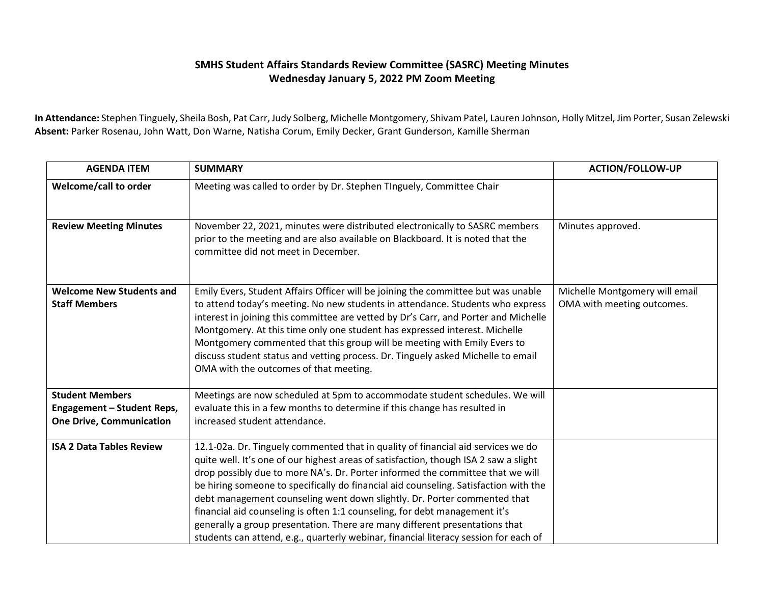## **SMHS Student Affairs Standards Review Committee (SASRC) Meeting Minutes Wednesday January 5, 2022 PM Zoom Meeting**

**In Attendance:** Stephen Tinguely, Sheila Bosh, Pat Carr, Judy Solberg, Michelle Montgomery, Shivam Patel, Lauren Johnson, Holly Mitzel, Jim Porter, Susan Zelewski **Absent:** Parker Rosenau, John Watt, Don Warne, Natisha Corum, Emily Decker, Grant Gunderson, Kamille Sherman

| <b>AGENDA ITEM</b>                                                                      | <b>SUMMARY</b>                                                                                                                                                                                                                                                                                                                                                                                                                                                                                                                                                                                                                                                                      | <b>ACTION/FOLLOW-UP</b>                                      |
|-----------------------------------------------------------------------------------------|-------------------------------------------------------------------------------------------------------------------------------------------------------------------------------------------------------------------------------------------------------------------------------------------------------------------------------------------------------------------------------------------------------------------------------------------------------------------------------------------------------------------------------------------------------------------------------------------------------------------------------------------------------------------------------------|--------------------------------------------------------------|
| Welcome/call to order                                                                   | Meeting was called to order by Dr. Stephen TInguely, Committee Chair                                                                                                                                                                                                                                                                                                                                                                                                                                                                                                                                                                                                                |                                                              |
| <b>Review Meeting Minutes</b>                                                           | November 22, 2021, minutes were distributed electronically to SASRC members<br>prior to the meeting and are also available on Blackboard. It is noted that the<br>committee did not meet in December.                                                                                                                                                                                                                                                                                                                                                                                                                                                                               | Minutes approved.                                            |
| <b>Welcome New Students and</b><br><b>Staff Members</b>                                 | Emily Evers, Student Affairs Officer will be joining the committee but was unable<br>to attend today's meeting. No new students in attendance. Students who express<br>interest in joining this committee are vetted by Dr's Carr, and Porter and Michelle<br>Montgomery. At this time only one student has expressed interest. Michelle<br>Montgomery commented that this group will be meeting with Emily Evers to<br>discuss student status and vetting process. Dr. Tinguely asked Michelle to email<br>OMA with the outcomes of that meeting.                                                                                                                                  | Michelle Montgomery will email<br>OMA with meeting outcomes. |
| <b>Student Members</b><br>Engagement - Student Reps,<br><b>One Drive, Communication</b> | Meetings are now scheduled at 5pm to accommodate student schedules. We will<br>evaluate this in a few months to determine if this change has resulted in<br>increased student attendance.                                                                                                                                                                                                                                                                                                                                                                                                                                                                                           |                                                              |
| <b>ISA 2 Data Tables Review</b>                                                         | 12.1-02a. Dr. Tinguely commented that in quality of financial aid services we do<br>quite well. It's one of our highest areas of satisfaction, though ISA 2 saw a slight<br>drop possibly due to more NA's. Dr. Porter informed the committee that we will<br>be hiring someone to specifically do financial aid counseling. Satisfaction with the<br>debt management counseling went down slightly. Dr. Porter commented that<br>financial aid counseling is often 1:1 counseling, for debt management it's<br>generally a group presentation. There are many different presentations that<br>students can attend, e.g., quarterly webinar, financial literacy session for each of |                                                              |